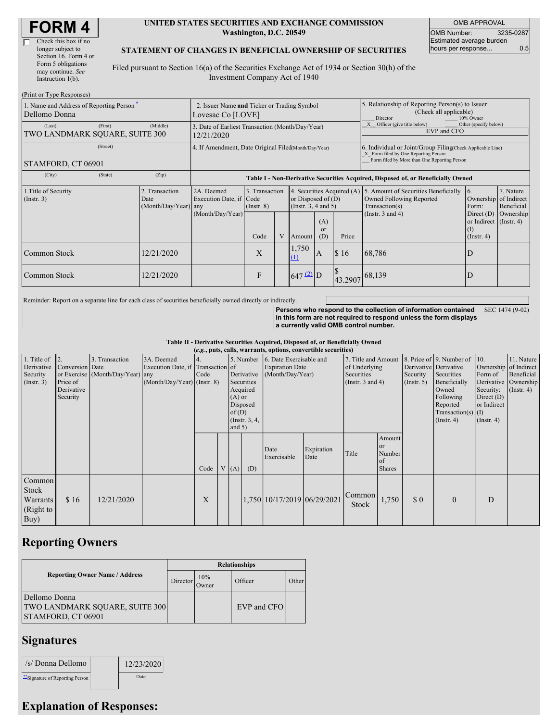| Check this box if no  |
|-----------------------|
| longer subject to     |
| Section 16. Form 4 or |
| Form 5 obligations    |
| may continue. See     |
| Instruction $1(b)$ .  |
|                       |

#### **UNITED STATES SECURITIES AND EXCHANGE COMMISSION Washington, D.C. 20549**

OMB APPROVAL OMB Number: 3235-0287 Estimated average burden hours per response... 0.5

#### **STATEMENT OF CHANGES IN BENEFICIAL OWNERSHIP OF SECURITIES**

Filed pursuant to Section 16(a) of the Securities Exchange Act of 1934 or Section 30(h) of the Investment Company Act of 1940

| (Print or Type Responses)                                 |          |                                                                |                                                                                  |                                   |   |                   |                                              |                                                                    |                                                                                                                                                                                         |                                                              |           |  |
|-----------------------------------------------------------|----------|----------------------------------------------------------------|----------------------------------------------------------------------------------|-----------------------------------|---|-------------------|----------------------------------------------|--------------------------------------------------------------------|-----------------------------------------------------------------------------------------------------------------------------------------------------------------------------------------|--------------------------------------------------------------|-----------|--|
| 1. Name and Address of Reporting Person-<br>Dellomo Donna |          |                                                                | 2. Issuer Name and Ticker or Trading Symbol<br>Lovesac Co [LOVE]                 |                                   |   |                   |                                              |                                                                    | 5. Relationship of Reporting Person(s) to Issuer<br>(Check all applicable)<br>10% Owner<br>Director                                                                                     |                                                              |           |  |
| (First)<br>(Last)<br>TWO LANDMARK SOUARE, SUITE 300       | (Middle) | 3. Date of Earliest Transaction (Month/Day/Year)<br>12/21/2020 |                                                                                  |                                   |   |                   |                                              | Officer (give title below)<br>Other (specify below)<br>EVP and CFO |                                                                                                                                                                                         |                                                              |           |  |
| (Street)<br>STAMFORD, CT 06901                            |          |                                                                | 4. If Amendment, Date Original Filed(Month/Day/Year)                             |                                   |   |                   |                                              |                                                                    | 6. Individual or Joint/Group Filing(Check Applicable Line)<br>X Form filed by One Reporting Person<br>Form filed by More than One Reporting Person                                      |                                                              |           |  |
| (City)<br>(State)<br>(Zip)                                |          |                                                                | Table I - Non-Derivative Securities Acquired, Disposed of, or Beneficially Owned |                                   |   |                   |                                              |                                                                    |                                                                                                                                                                                         |                                                              |           |  |
| 1. Title of Security<br>(Insert. 3)                       | Date     | 2. Transaction<br>(Month/Day/Year) any                         | 2A. Deemed<br>Execution Date, if Code                                            | 3. Transaction<br>$($ Instr. $8)$ |   |                   | or Disposed of $(D)$<br>(Insert. 3, 4 and 5) |                                                                    | 4. Securities Acquired (A) 5. Amount of Securities Beneficially<br>7. Nature<br><b>6.</b><br>Ownership of Indirect<br>Owned Following Reported<br>Beneficial<br>Transaction(s)<br>Form: |                                                              |           |  |
|                                                           |          |                                                                | (Month/Day/Year)                                                                 | Code                              | V | Amount            | (A)<br>$\alpha$<br>(D)                       | Price                                                              | (Instr. $3$ and $4$ )                                                                                                                                                                   | Direct $(D)$<br>or Indirect (Instr. 4)<br>(I)<br>(Insert. 4) | Ownership |  |
| Common Stock                                              |          | 12/21/2020                                                     |                                                                                  | X                                 |   | 1,750<br>$\Omega$ | A                                            | \$16                                                               | 68,786                                                                                                                                                                                  | D                                                            |           |  |
| Common Stock                                              |          | 12/21/2020                                                     |                                                                                  | F                                 |   | $647$ (2) D       |                                              | 43.2907 68,139                                                     |                                                                                                                                                                                         | D                                                            |           |  |

Reminder: Report on a separate line for each class of securities beneficially owned directly or indirectly.

**Persons who respond to the collection of information contained in this form are not required to respond unless the form displays a currently valid OMB control number.** SEC 1474 (9-02)

**Table II - Derivative Securities Acquired, Disposed of, or Beneficially Owned**

|                  | (e.g., puts, calls, warrants, options, convertible securities) |                                  |                                   |      |  |                                   |                 |                             |            |                       |                              |              |                       |                  |                      |
|------------------|----------------------------------------------------------------|----------------------------------|-----------------------------------|------|--|-----------------------------------|-----------------|-----------------------------|------------|-----------------------|------------------------------|--------------|-----------------------|------------------|----------------------|
| 1. Title of      | $\overline{12}$ .                                              | 3. Transaction                   | 3A. Deemed                        | 14.  |  | 5. Number 6. Date Exercisable and |                 | 7. Title and Amount         |            |                       | 8. Price of 9. Number of 10. |              | 11. Nature            |                  |                      |
| Derivative       | Conversion Date                                                |                                  | Execution Date, if Transaction of |      |  | <b>Expiration Date</b>            |                 | of Underlying               |            | Derivative Derivative |                              |              | Ownership of Indirect |                  |                      |
| Security         |                                                                | or Exercise (Month/Day/Year) any |                                   | Code |  |                                   | Derivative      | (Month/Day/Year)            |            | Securities            |                              | Security     | Securities            | Form of          | Beneficial           |
| $($ Instr. 3 $)$ | Price of                                                       |                                  | (Month/Day/Year) (Instr. 8)       |      |  |                                   | Securities      |                             |            | (Instr. $3$ and $4$ ) |                              | (Insert. 5)  | Beneficially          |                  | Derivative Ownership |
|                  | Derivative                                                     |                                  |                                   |      |  |                                   | Acquired        |                             |            |                       |                              |              | Owned                 | Security:        | $($ Instr. 4 $)$     |
|                  | Security                                                       |                                  |                                   |      |  | $(A)$ or                          |                 |                             |            |                       | Following                    | Direct $(D)$ |                       |                  |                      |
|                  |                                                                |                                  |                                   |      |  |                                   | Disposed        |                             |            |                       |                              |              | Reported              | or Indirect      |                      |
|                  |                                                                |                                  |                                   |      |  | of $(D)$                          |                 |                             |            |                       |                              |              | Transaction(s) $(I)$  |                  |                      |
|                  |                                                                |                                  |                                   |      |  |                                   | (Instr. $3, 4,$ |                             |            |                       |                              |              | $($ Instr. 4 $)$      | $($ Instr. 4 $)$ |                      |
|                  |                                                                |                                  |                                   |      |  | and $5)$                          |                 |                             |            |                       |                              |              |                       |                  |                      |
|                  |                                                                |                                  |                                   |      |  |                                   |                 |                             |            |                       | Amount                       |              |                       |                  |                      |
|                  |                                                                |                                  |                                   |      |  |                                   |                 | Date                        | Expiration |                       | <sub>or</sub>                |              |                       |                  |                      |
|                  |                                                                |                                  |                                   |      |  |                                   |                 | Exercisable                 | Date       | Title                 | Number                       |              |                       |                  |                      |
|                  |                                                                |                                  |                                   |      |  |                                   |                 |                             |            |                       | of                           |              |                       |                  |                      |
|                  |                                                                |                                  |                                   | Code |  | V(A)                              | (D)             |                             |            |                       | <b>Shares</b>                |              |                       |                  |                      |
| Common           |                                                                |                                  |                                   |      |  |                                   |                 |                             |            |                       |                              |              |                       |                  |                      |
| Stock            |                                                                |                                  |                                   |      |  |                                   |                 |                             |            |                       |                              |              |                       |                  |                      |
| Warrants         | \$16                                                           | 12/21/2020                       |                                   | X    |  |                                   |                 | 1,750 10/17/2019 06/29/2021 |            | Common                | 1,750                        | $\Omega$     | $\mathbf{0}$          | D                |                      |
|                  |                                                                |                                  |                                   |      |  |                                   |                 |                             |            | Stock                 |                              |              |                       |                  |                      |
| (Right to        |                                                                |                                  |                                   |      |  |                                   |                 |                             |            |                       |                              |              |                       |                  |                      |
| Buy)             |                                                                |                                  |                                   |      |  |                                   |                 |                             |            |                       |                              |              |                       |                  |                      |

# **Reporting Owners**

|                                                                              | <b>Relationships</b> |                     |             |       |  |  |  |  |
|------------------------------------------------------------------------------|----------------------|---------------------|-------------|-------|--|--|--|--|
| <b>Reporting Owner Name / Address</b>                                        | Director             | 10%<br><b>Jwner</b> | Officer     | Other |  |  |  |  |
| Dellomo Donna<br><b>TWO LANDMARK SQUARE, SUITE 300</b><br>STAMFORD, CT 06901 |                      |                     | EVP and CFO |       |  |  |  |  |

### **Signatures**

| /s/ Donna Dellomo              | 12/23/2020 |
|--------------------------------|------------|
| "Signature of Reporting Person | Date       |

## **Explanation of Responses:**